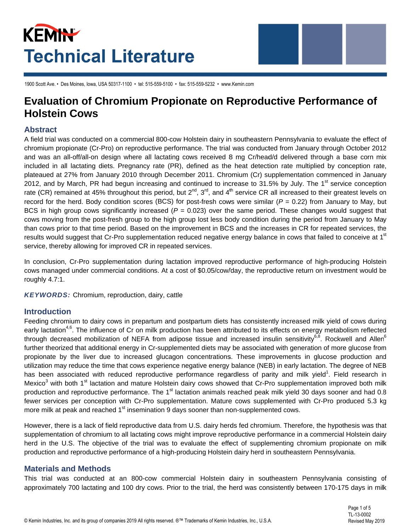# KEMIN **Technical Literature**



1900 Scott Ave. • Des Moines. Iowa. USA 50317-1100 • tel: 515-559-5100 • fax: 515-559-5232 • www.Kemin.com

## **Evaluation of Chromium Propionate on Reproductive Performance of Holstein Cows**

#### **Abstract**

A field trial was conducted on a commercial 800-cow Holstein dairy in southeastern Pennsylvania to evaluate the effect of chromium propionate (Cr-Pro) on reproductive performance. The trial was conducted from January through October 2012 and was an all-off/all-on design where all lactating cows received 8 mg Cr/head/d delivered through a base corn mix included in all lactating diets. Pregnancy rate (PR), defined as the heat detection rate multiplied by conception rate, plateaued at 27% from January 2010 through December 2011. Chromium (Cr) supplementation commenced in January 2012, and by March, PR had begun increasing and continued to increase to 31.5% by July. The 1<sup>st</sup> service conception rate (CR) remained at 45% throughout this period, but  $2^{nd}$ ,  $3^{rd}$ , and  $4^{th}$  service CR all increased to their greatest levels on record for the herd. Body condition scores (BCS) for post-fresh cows were similar ( $P = 0.22$ ) from January to May, but BCS in high group cows significantly increased ( $P = 0.023$ ) over the same period. These changes would suggest that cows moving from the post-fresh group to the high group lost less body condition during the period from January to May than cows prior to that time period. Based on the improvement in BCS and the increases in CR for repeated services, the results would suggest that Cr-Pro supplementation reduced negative energy balance in cows that failed to conceive at 1<sup>st</sup> service, thereby allowing for improved CR in repeated services.

In conclusion, Cr-Pro supplementation during lactation improved reproductive performance of high-producing Holstein cows managed under commercial conditions. At a cost of \$0.05/cow/day, the reproductive return on investment would be roughly 4.7:1.

**KEYWORDS:** Chromium, reproduction, dairy, cattle

#### **Introduction**

Feeding chromium to dairy cows in prepartum and postpartum diets has consistently increased milk yield of cows during early lactation<sup>4,6</sup>. The influence of Cr on milk production has been attributed to its effects on energy metabolism reflected through decreased mobilization of NEFA from adipose tissue and increased insulin sensitivity<sup>6,8</sup>. Rockwell and Allen<sup>6</sup> further theorized that additional energy in Cr-supplemented diets may be associated with generation of more glucose from propionate by the liver due to increased glucagon concentrations. These improvements in glucose production and utilization may reduce the time that cows experience negative energy balance (NEB) in early lactation. The degree of NEB has been associated with reduced reproductive performance regardless of parity and milk yield<sup>1</sup>. Field research in Mexico<sup>3</sup> with both 1<sup>st</sup> lactation and mature Holstein dairy cows showed that Cr-Pro supplementation improved both milk production and reproductive performance. The 1<sup>st</sup> lactation animals reached peak milk yield 30 days sooner and had 0.8 fewer services per conception with Cr-Pro supplementation. Mature cows supplemented with Cr-Pro produced 5.3 kg more milk at peak and reached 1<sup>st</sup> insemination 9 days sooner than non-supplemented cows.

However, there is a lack of field reproductive data from U.S. dairy herds fed chromium. Therefore, the hypothesis was that supplementation of chromium to all lactating cows might improve reproductive performance in a commercial Holstein dairy herd in the U.S. The objective of the trial was to evaluate the effect of supplementing chromium propionate on milk production and reproductive performance of a high-producing Holstein dairy herd in southeastern Pennsylvania.

### **Materials and Methods**

This trial was conducted at an 800-cow commercial Holstein dairy in southeastern Pennsylvania consisting of approximately 700 lactating and 100 dry cows. Prior to the trial, the herd was consistently between 170-175 days in milk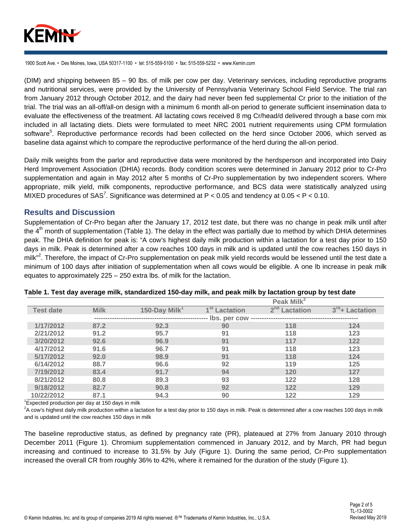

(DIM) and shipping between 85 - 90 lbs. of milk per cow per day. Veterinary services, including reproductive programs and nutritional services, were provided by the University of Pennsylvania Veterinary School Field Service. The trial ran from January 2012 through October 2012, and the dairy had never been fed supplemental Cr prior to the initiation of the trial. The trial was an all-off/all-on design with a minimum 6 month all-on period to generate sufficient insemination data to evaluate the effectiveness of the treatment. All lactating cows received 8 mg Cr/head/d delivered through a base corn mix included in all lactating diets. Diets were formulated to meet NRC 2001 nutrient requirements using CPM formulation software<sup>5</sup>. Reproductive performance records had been collected on the herd since October 2006, which served as baseline data against which to compare the reproductive performance of the herd during the all-on period.

Daily milk weights from the parlor and reproductive data were monitored by the herdsperson and incorporated into Dairy Herd Improvement Association (DHIA) records. Body condition scores were determined in January 2012 prior to Cr-Pro supplementation and again in May 2012 after 5 months of Cr-Pro supplementation by two independent scorers. Where appropriate, milk yield, milk components, reproductive performance, and BCS data were statistically analyzed using MIXED procedures of SAS<sup>7</sup>. Significance was determined at  $P < 0.05$  and tendency at 0.05  $< P < 0.10$ .

#### **Results and Discussion**

Supplementation of Cr-Pro began after the January 17, 2012 test date, but there was no change in peak milk until after the 4<sup>th</sup> month of supplementation (Table 1). The delay in the effect was partially due to method by which DHIA determines peak. The DHIA definition for peak is: "A cow's highest daily milk production within a lactation for a test day prior to 150 days in milk. Peak is determined after a cow reaches 100 days in milk and is updated until the cow reaches 150 days in milk"<sup>2</sup>. Therefore, the impact of Cr-Pro supplementation on peak milk yield records would be lessened until the test date a minimum of 100 days after initiation of supplementation when all cows would be eligible. A one Ib increase in peak milk equates to approximately 225 - 250 extra lbs. of milk for the lactation.

|                  |             |                           |                           | Peak Milk <sup>2</sup>    |                             |
|------------------|-------------|---------------------------|---------------------------|---------------------------|-----------------------------|
| <b>Test date</b> | <b>Milk</b> | 150-Day Milk <sup>1</sup> | 1 <sup>st</sup> Lactation | 2 <sup>nd</sup> Lactation | 3 <sup>rd</sup> + Lactation |
|                  |             |                           | Ibs. per cow              |                           |                             |
| 1/17/2012        | 87.2        | 92.3                      | 90                        | 118                       | 124                         |
| 2/21/2012        | 91.2        | 95.7                      | 91                        | 118                       | 123                         |
| 3/20/2012        | 92.6        | 96.9                      | 91                        | 117                       | 122                         |
| 4/17/2012        | 91.6        | 96.7                      | 91                        | 118                       | 123                         |
| 5/17/2012        | 92.0        | 98.9                      | 91                        | 118                       | 124                         |
| 6/14/2012        | 88.7        | 96.6                      | 92                        | 119                       | 125                         |
| 7/19/2012        | 83.4        | 91.7                      | 94                        | 120                       | 127                         |
| 8/21/2012        | 80.8        | 89.3                      | 93                        | 122                       | 128                         |
| 9/18/2012        | 82.7        | 90.8                      | 92                        | 122                       | 129                         |
| 10/22/2012       | 87.1        | 94.3                      | 90                        | 122                       | 129                         |

#### Table 1. Test day average milk, standardized 150-day milk, and peak milk by lactation group by test date

 $\mathrm{^{1}E}$ xpected production per day at 150 days in milk

<sup>2</sup>A cow's highest daily milk production within a lactation for a test day prior to 150 days in milk. Peak is determined after a cow reaches 100 days in milk and is updated until the cow reaches 150 days in milk

The baseline reproductive status, as defined by pregnancy rate (PR), plateaued at 27% from January 2010 through December 2011 (Figure 1). Chromium supplementation commenced in January 2012, and by March, PR had begun increasing and continued to increase to 31.5% by July (Figure 1). During the same period, Cr-Pro supplementation increased the overall CR from roughly 36% to 42%, where it remained for the duration of the study (Figure 1).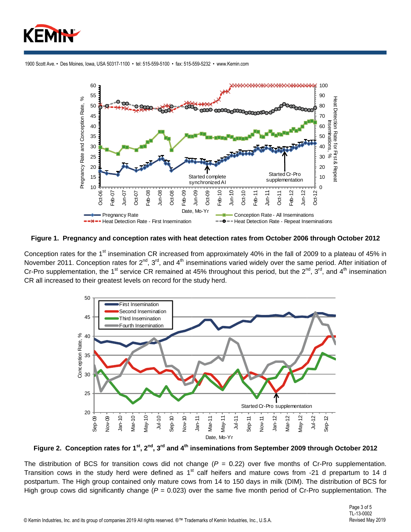



Figure 1. Pregnancy and conception rates with heat detection rates from October 2006 through October 2012

Conception rates for the 1<sup>st</sup> insemination CR increased from approximately 40% in the fall of 2009 to a plateau of 45% in November 2011. Conception rates for 2<sup>nd</sup>, 3<sup>rd</sup>, and 4<sup>th</sup> inseminations varied widely over the same period. After initiation of Cr-Pro supplementation, the 1<sup>st</sup> service CR remained at 45% throughout this period, but the 2<sup>nd</sup>, 3<sup>rd</sup>, and 4<sup>th</sup> insemination CR all increased to their greatest levels on record for the study herd.



Figure 2. Conception rates for 1<sup>st</sup>, 2<sup>nd</sup>, 3<sup>rd</sup> and 4<sup>th</sup> inseminations from September 2009 through October 2012

The distribution of BCS for transition cows did not change ( $P = 0.22$ ) over five months of Cr-Pro supplementation. Transition cows in the study herd were defined as 1<sup>st</sup> calf heifers and mature cows from -21 d prepartum to 14 d postpartum. The High group contained only mature cows from 14 to 150 days in milk (DIM). The distribution of BCS for High group cows did significantly change ( $P = 0.023$ ) over the same five month period of Cr-Pro supplementation. The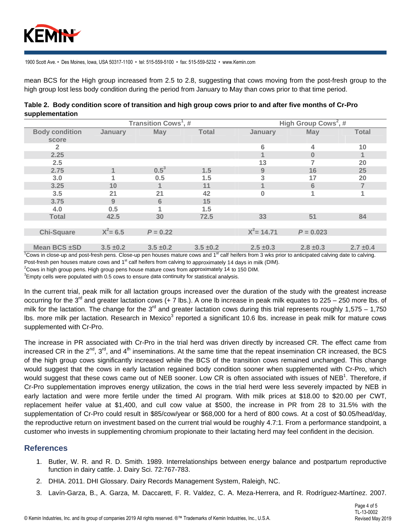

mean BCS for the High group increased from 2.5 to 2.8, suggesting that cows moving from the post-fresh group to the high group lost less body condition during the period from January to May than cows prior to that time period.

|                 |  | Table 2.  Body condition score of transition and high group cows prior to and after five months of Cr-Pro |  |  |  |
|-----------------|--|-----------------------------------------------------------------------------------------------------------|--|--|--|
| supplementation |  |                                                                                                           |  |  |  |
|                 |  |                                                                                                           |  |  |  |

|                       |               | Transition Cows', # |               | High Group Cows <sup>-</sup> , # |               |              |  |
|-----------------------|---------------|---------------------|---------------|----------------------------------|---------------|--------------|--|
| <b>Body condition</b> | January       | May                 | <b>Total</b>  | January                          | <b>May</b>    | <b>Total</b> |  |
| score                 |               |                     |               |                                  |               |              |  |
| 2                     |               |                     |               | 6                                | 4             | 10           |  |
| 2.25                  |               |                     |               |                                  | $\bf{0}$      |              |  |
| 2.5                   |               |                     |               | 13                               |               | 20           |  |
| 2.75                  | $\mathbf 1$   | $0.5^3$             | 1.5           | 9                                | 16            | 25           |  |
| 3.0                   | 1             | 0.5                 | 1.5           | 3                                | 17            | 20           |  |
| 3.25                  | 10            |                     | 11            |                                  | 6             |              |  |
| 3.5                   | 21            | 21                  | 42            | 0                                |               | 4            |  |
| 3.75                  | 9             | $6\phantom{1}$      | 15            |                                  |               |              |  |
| 4.0                   | 0.5           |                     | 1.5           |                                  |               |              |  |
| <b>Total</b>          | 42.5          | 30                  | 72.5          | 33                               | 51            | 84           |  |
|                       |               |                     |               |                                  |               |              |  |
| <b>Chi-Square</b>     | $X^2 = 6.5$   | $P = 0.22$          |               | $X^2$ = 14.71                    | $P = 0.023$   |              |  |
|                       |               |                     |               |                                  |               |              |  |
| Mean BCS ±SD          | $3.5 \pm 0.2$ | $3.5 \pm 0.2$       | $3.5 \pm 0.2$ | $2.5 + 0.3$                      | $2.8 \pm 0.3$ | $2.7 + 0.4$  |  |

<sup>1</sup>Cows in close-up and post-fresh pens. Close-up pen houses mature cows and 1<sup>st</sup> calf heifers from 3 wks prior to anticipated calving date to calving. Post-fresh pen houses mature cows and 1<sup>st</sup> calf heifers from calving to approximately 14 days in milk (DIM).

 ${}^{2}$ Cows in high group pens. High group pens house mature cows from approximately 14 to 150 DIM.

 ${}^{3}$ Empty cells were populated with 0.5 cows to ensure data continuity for statistical analysis.

In the current trial, peak milk for all lactation groups increased over the duration of the study with the greatest increase occurring for the 3<sup>rd</sup> and greater lactation cows (+ 7 lbs.). A one lb increase in peak milk equates to 225 – 250 more lbs. of milk for the lactation. The change for the  $3^{rd}$  and greater lactation cows during this trial represents roughly 1,575 – 1,750 Ibs. more milk per lactation. Research in Mexico<sup>3</sup> reported a significant 10.6 lbs. increase in peak milk for mature cows supplemented with Cr-Pro.

The increase in PR associated with Cr-Pro in the trial herd was driven directly by increased CR. The effect came from increased CR in the  $2^{nd}$ ,  $3^{rd}$ , and  $4^{th}$  inseminations. At the same time that the repeat insemination CR increased, the BCS of the high group cows significantly increased while the BCS of the transition cows remained unchanged. This change would suggest that the cows in early lactation regained body condition sooner when supplemented with Cr-Pro, which would suggest that these cows came out of NEB sooner. Low CR is often associated with issues of NEB<sup>1</sup>. Therefore, if Cr-Pro supplementation improves energy utilization, the cows in the trial herd were less severely impacted by NEB in early lactation and were more fertile under the timed AI program. With milk prices at \$18.00 to \$20.00 per CWT, replacement heifer value at \$1,400, and cull cow value at \$500, the increase in PR from 28 to 31.5% with the supplementation of Cr-Pro could result in \$85/cow/year or \$68,000 for a herd of 800 cows. At a cost of \$0.05/head/day, the reproductive return on investment based on the current trial would be roughly 4.7:1. From a performance standpoint, a customer who invests in supplementing chromium propionate to their lactating herd may feel confident in the decision.

#### **References**

- 1. Butler, W. R. and R. D. Smith. 1989. Interrelationships between energy balance and postpartum reproductive function in dairy cattle. J. Dairy Sci. 72:767-783.
- 2. DHIA. 2011. DHI Glossary. Dairy Records Management System, Raleigh, NC.
- 3. Lavín-Garza, B., A. Garza, M. Daccarett, F. R. Valdez, C. A. Meza-Herrera, and R. Rodríguez-Martínez. 2007.